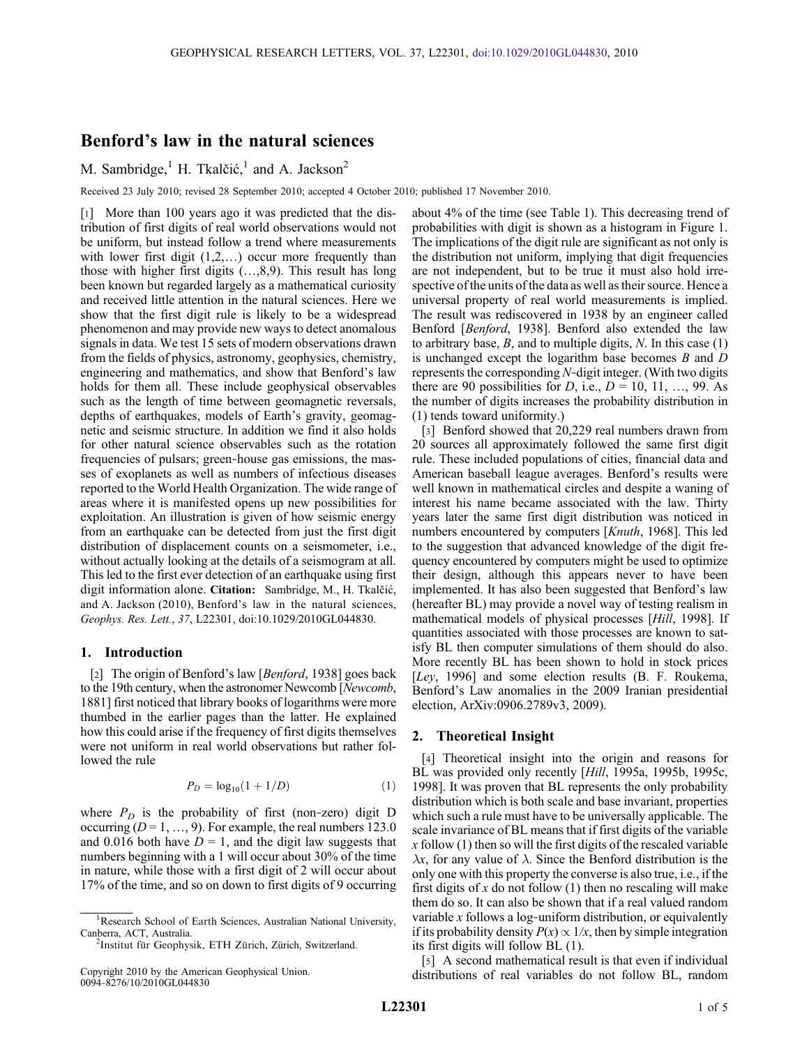## Benford's law in the natural sciences

# M. Sambridge,<sup>1</sup> H. Tkalčić,<sup>1</sup> and A. Jackson<sup>2</sup>

Received 23 July 2010; revised 28 September 2010; accepted 4 October 2010; published 17 November 2010.

[1] More than 100 years ago it was predicted that the distribution of first digits of real world observations would not be uniform, but instead follow a trend where measurements with lower first digit  $(1,2,...)$  occur more frequently than those with higher first digits (…,8,9). This result has long been known but regarded largely as a mathematical curiosity and received little attention in the natural sciences. Here we show that the first digit rule is likely to be a widespread phenomenon and may provide new ways to detect anomalous signals in data. We test 15 sets of modern observations drawn from the fields of physics, astronomy, geophysics, chemistry, engineering and mathematics, and show that Benford's law holds for them all. These include geophysical observables such as the length of time between geomagnetic reversals, depths of earthquakes, models of Earth's gravity, geomagnetic and seismic structure. In addition we find it also holds for other natural science observables such as the rotation frequencies of pulsars; green‐house gas emissions, the masses of exoplanets as well as numbers of infectious diseases reported to the World Health Organization. The wide range of areas where it is manifested opens up new possibilities for exploitation. An illustration is given of how seismic energy from an earthquake can be detected from just the first digit distribution of displacement counts on a seismometer, i.e., without actually looking at the details of a seismogram at all. This led to the first ever detection of an earthquake using first digit information alone. Citation: Sambridge, M., H. Tkalčić, and A. Jackson (2010), Benford's law in the natural sciences, Geophys. Res. Lett., 37, L22301, doi:10.1029/2010GL044830.

## 1. Introduction

[2] The origin of Benford's law [*Benford*, 1938] goes back to the 19th century, when the astronomer Newcomb [Newcomb, 1881] first noticed that library books of logarithms were more thumbed in the earlier pages than the latter. He explained how this could arise if the frequency of first digits themselves were not uniform in real world observations but rather followed the rule

$$
P_D = \log_{10}(1 + 1/D) \tag{1}
$$

where  $P_D$  is the probability of first (non-zero) digit D occurring ( $D = 1, ..., 9$ ). For example, the real numbers 123.0 and 0.016 both have  $D = 1$ , and the digit law suggests that numbers beginning with a 1 will occur about 30% of the time in nature, while those with a first digit of 2 will occur about 17% of the time, and so on down to first digits of 9 occurring

about 4% of the time (see Table 1). This decreasing trend of probabilities with digit is shown as a histogram in Figure 1. The implications of the digit rule are significant as not only is the distribution not uniform, implying that digit frequencies are not independent, but to be true it must also hold irrespective of the units of the data as well as their source. Hence a universal property of real world measurements is implied. The result was rediscovered in 1938 by an engineer called Benford [Benford, 1938]. Benford also extended the law to arbitrary base,  $B$ , and to multiple digits,  $N$ . In this case (1) is unchanged except the logarithm base becomes  $B$  and  $D$ represents the corresponding N‐digit integer. (With two digits there are 90 possibilities for D, i.e.,  $D = 10, 11, \ldots, 99$ . As the number of digits increases the probability distribution in (1) tends toward uniformity.)

[3] Benford showed that 20,229 real numbers drawn from 20 sources all approximately followed the same first digit rule. These included populations of cities, financial data and American baseball league averages. Benford's results were well known in mathematical circles and despite a waning of interest his name became associated with the law. Thirty years later the same first digit distribution was noticed in numbers encountered by computers [Knuth, 1968]. This led to the suggestion that advanced knowledge of the digit frequency encountered by computers might be used to optimize their design, although this appears never to have been implemented. It has also been suggested that Benford's law (hereafter BL) may provide a novel way of testing realism in mathematical models of physical processes [Hill, 1998]. If quantities associated with those processes are known to satisfy BL then computer simulations of them should do also. More recently BL has been shown to hold in stock prices [Ley, 1996] and some election results (B. F. Roukema, Benford's Law anomalies in the 2009 Iranian presidential election, ArXiv:0906.2789v3, 2009).

#### 2. Theoretical Insight

[4] Theoretical insight into the origin and reasons for BL was provided only recently [Hill, 1995a, 1995b, 1995c, 1998]. It was proven that BL represents the only probability distribution which is both scale and base invariant, properties which such a rule must have to be universally applicable. The scale invariance of BL means that if first digits of the variable  $x$  follow (1) then so will the first digits of the rescaled variable  $\lambda x$ , for any value of  $\lambda$ . Since the Benford distribution is the only one with this property the converse is also true, i.e., if the first digits of x do not follow  $(1)$  then no rescaling will make them do so. It can also be shown that if a real valued random variable  $x$  follows a log-uniform distribution, or equivalently if its probability density  $P(x) \propto 1/x$ , then by simple integration its first digits will follow BL (1).

[5] A second mathematical result is that even if individual distributions of real variables do not follow BL, random

<sup>&</sup>lt;sup>1</sup>Research School of Earth Sciences, Australian National University, Canberra, ACT, Australia. <sup>2</sup>

<sup>&</sup>lt;sup>2</sup>Institut für Geophysik, ETH Zürich, Zürich, Switzerland.

Copyright 2010 by the American Geophysical Union. 0094‐8276/10/2010GL044830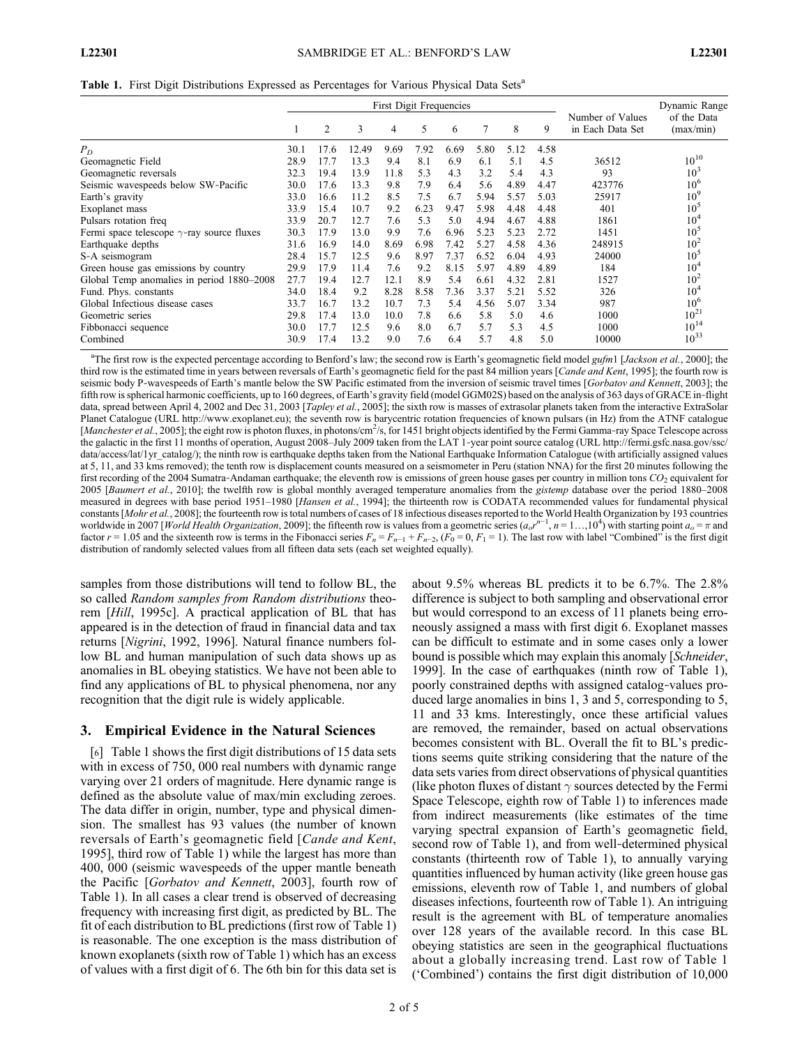Table 1. First Digit Distributions Expressed as Percentages for Various Physical Data Sets<sup>a</sup>

|                                                   | <b>First Digit Frequencies</b> |      |       |                |      |      |      |      |      |                                      | Dynamic Range            |
|---------------------------------------------------|--------------------------------|------|-------|----------------|------|------|------|------|------|--------------------------------------|--------------------------|
|                                                   |                                | 2    | 3     | $\overline{4}$ | 5    | 6    |      | 8    | 9    | Number of Values<br>in Each Data Set | of the Data<br>(max/min) |
| $P_D$                                             | 30.1                           | 17.6 | 12.49 | 9.69           | 7.92 | 6.69 | 5.80 | 5.12 | 4.58 |                                      |                          |
| Geomagnetic Field                                 | 28.9                           | 17.7 | 13.3  | 9.4            | 8.1  | 6.9  | 6.1  | 5.1  | 4.5  | 36512                                | $10^{10}$                |
| Geomagnetic reversals                             | 32.3                           | 19.4 | 13.9  | 11.8           | 5.3  | 4.3  | 3.2  | 5.4  | 4.3  | 93                                   | $10^{3}$                 |
| Seismic wavespeeds below SW-Pacific               | 30.0                           | 17.6 | 13.3  | 9.8            | 7.9  | 6.4  | 5.6  | 4.89 | 4.47 | 423776                               | $10^{6}$                 |
| Earth's gravity                                   | 33.0                           | 16.6 | 11.2  | 8.5            | 7.5  | 6.7  | 5.94 | 5.57 | 5.03 | 25917                                | 10 <sup>9</sup>          |
| Exoplanet mass                                    | 33.9                           | 15.4 | 10.7  | 9.2            | 6.23 | 9.47 | 5.98 | 4.48 | 4.48 | 401                                  | 10 <sup>2</sup>          |
| Pulsars rotation freq                             | 33.9                           | 20.7 | 12.7  | 7.6            | 5.3  | 5.0  | 4.94 | 4.67 | 4.88 | 1861                                 | 10 <sup>4</sup>          |
| Fermi space telescope $\gamma$ -ray source fluxes | 30.3                           | 17.9 | 13.0  | 9.9            | 7.6  | 6.96 | 5.23 | 5.23 | 2.72 | 1451                                 | 10 <sup>2</sup>          |
| Earthquake depths                                 | 31.6                           | 16.9 | 14.0  | 8.69           | 6.98 | 7.42 | 5.27 | 4.58 | 4.36 | 248915                               | $10^2$                   |
| S-A seismogram                                    | 28.4                           | 15.7 | 12.5  | 9.6            | 8.97 | 7.37 | 6.52 | 6.04 | 4.93 | 24000                                | $10^{5}$                 |
| Green house gas emissions by country              | 29.9                           | 17.9 | 11.4  | 7.6            | 9.2  | 8.15 | 5.97 | 4.89 | 4.89 | 184                                  | $10^{4}$                 |
| Global Temp anomalies in period 1880-2008         | 27.7                           | 19.4 | 12.7  | 12.1           | 8.9  | 5.4  | 6.61 | 4.32 | 2.81 | 1527                                 | $10^{2}$                 |
| Fund. Phys. constants                             | 34.0                           | 18.4 | 9.2   | 8.28           | 8.58 | 7.36 | 3.37 | 5.21 | 5.52 | 326                                  | 10 <sup>4</sup>          |
| Global Infectious disease cases                   | 33.7                           | 16.7 | 13.2  | 10.7           | 7.3  | 5.4  | 4.56 | 5.07 | 3.34 | 987                                  | $10^{6}$                 |
| Geometric series                                  | 29.8                           | 17.4 | 13.0  | 10.0           | 7.8  | 6.6  | 5.8  | 5.0  | 4.6  | 1000                                 | $10^{21}$                |
| Fibbonacci sequence                               | 30.0                           | 17.7 | 12.5  | 9.6            | 8.0  | 6.7  | 5.7  | 5.3  | 4.5  | 1000                                 | $10^{14}$                |
| Combined                                          | 30.9                           | 17.4 | 13.2  | 9.0            | 7.6  | 6.4  | 5.7  | 4.8  | 5.0  | 10000                                | $10^{33}$                |

<sup>a</sup>The first row is the expected percentage according to Benford's law; the second row is Earth's geomagnetic field model gufm1 [Jackson et al., 2000]; the third row is the estimated time in years between reversals of Earth's geomagnetic field for the past 84 million years [Cande and Kent, 1995]; the fourth row is seismic body P-wavespeeds of Earth's mantle below the SW Pacific estimated from the inversion of seismic travel times [Gorbatov and Kennett, 2003]; the fifth row is spherical harmonic coefficients, up to 160 degrees, of Earth's gravity field (model GGM02S) based on the analysis of 363 days of GRACE in‐flight data, spread between April 4, 2002 and Dec 31, 2003 [Tapley et al., 2005]; the sixth row is masses of extrasolar planets taken from the interactive ExtraSolar Planet Catalogue (URL http://www.exoplanet.eu); the seventh row is barycentric rotation frequencies of known pulsars (in Hz) from the ATNF catalogue [Manchester et al., 2005]; the eight row is photon fluxes, in photons/cm<sup>2</sup>/s, for 1451 bright objects identified by the Fermi Gamma-ray Space Telescope across the galactic in the first 11 months of operation, August 2008–July 2009 taken from the LAT 1-year point source catalog (URL http://fermi.gsfc.nasa.gov/ssc/ data/access/lat/1yr\_catalog/); the ninth row is earthquake depths taken from the National Earthquake Information Catalogue (with artificially assigned values at 5, 11, and 33 kms removed); the tenth row is displacement counts measured on a seismometer in Peru (station NNA) for the first 20 minutes following the first recording of the 2004 Sumatra-Andaman earthquake; the eleventh row is emissions of green house gases per country in million tons  $CO<sub>2</sub>$  equivalent for 2005 [Baumert et al., 2010]; the twelfth row is global monthly averaged temperature anomalies from the gistemp database over the period 1880–2008 measured in degrees with base period 1951-1980 [Hansen et al., 1994]; the thirteenth row is CODATA recommended values for fundamental physical constants [Mohr et al., 2008]; the fourteenth row is total numbers of cases of 18 infectious diseases reported to the World Health Organization by 193 countries worldwide in 2007 [*World Health Organization*, 2009]; the fifteenth row is values from a geometric series  $(a_0r^{n-1}, n = 1..., 10^4)$  with starting point  $a_0 = \pi$  and the sixteenth row is terms in the Eibonacci series  $F = F + F$ factor  $r = 1.05$  and the sixteenth row is terms in the Fibonacci series  $F_n = F_{n-1} + F_{n-2}$ ,  $(F_0 = 0, F_1 = 1)$ . The last row with label "Combined" is the first digit distribution of randomly selected values from all fifteen data sets (each set weighted equally).

samples from those distributions will tend to follow BL, the so called Random samples from Random distributions theorem [Hill, 1995c]. A practical application of BL that has appeared is in the detection of fraud in financial data and tax returns [Nigrini, 1992, 1996]. Natural finance numbers follow BL and human manipulation of such data shows up as anomalies in BL obeying statistics. We have not been able to find any applications of BL to physical phenomena, nor any recognition that the digit rule is widely applicable.

## 3. Empirical Evidence in the Natural Sciences

[6] Table 1 shows the first digit distributions of 15 data sets with in excess of 750, 000 real numbers with dynamic range varying over 21 orders of magnitude. Here dynamic range is defined as the absolute value of max/min excluding zeroes. The data differ in origin, number, type and physical dimension. The smallest has 93 values (the number of known reversals of Earth's geomagnetic field [Cande and Kent, 1995], third row of Table 1) while the largest has more than 400, 000 (seismic wavespeeds of the upper mantle beneath the Pacific [Gorbatov and Kennett, 2003], fourth row of Table 1). In all cases a clear trend is observed of decreasing frequency with increasing first digit, as predicted by BL. The fit of each distribution to BL predictions (first row of Table 1) is reasonable. The one exception is the mass distribution of known exoplanets (sixth row of Table 1) which has an excess of values with a first digit of 6. The 6th bin for this data set is

about 9.5% whereas BL predicts it to be 6.7%. The 2.8% difference is subject to both sampling and observational error but would correspond to an excess of 11 planets being erroneously assigned a mass with first digit 6. Exoplanet masses can be difficult to estimate and in some cases only a lower bound is possible which may explain this anomaly [Schneider, 1999]. In the case of earthquakes (ninth row of Table 1), poorly constrained depths with assigned catalog‐values produced large anomalies in bins 1, 3 and 5, corresponding to 5, 11 and 33 kms. Interestingly, once these artificial values are removed, the remainder, based on actual observations becomes consistent with BL. Overall the fit to BL's predictions seems quite striking considering that the nature of the data sets varies from direct observations of physical quantities (like photon fluxes of distant  $\gamma$  sources detected by the Fermi Space Telescope, eighth row of Table 1) to inferences made from indirect measurements (like estimates of the time varying spectral expansion of Earth's geomagnetic field, second row of Table 1), and from well-determined physical constants (thirteenth row of Table 1), to annually varying quantities influenced by human activity (like green house gas emissions, eleventh row of Table 1, and numbers of global diseases infections, fourteenth row of Table 1). An intriguing result is the agreement with BL of temperature anomalies over 128 years of the available record. In this case BL obeying statistics are seen in the geographical fluctuations about a globally increasing trend. Last row of Table 1 ('Combined') contains the first digit distribution of 10,000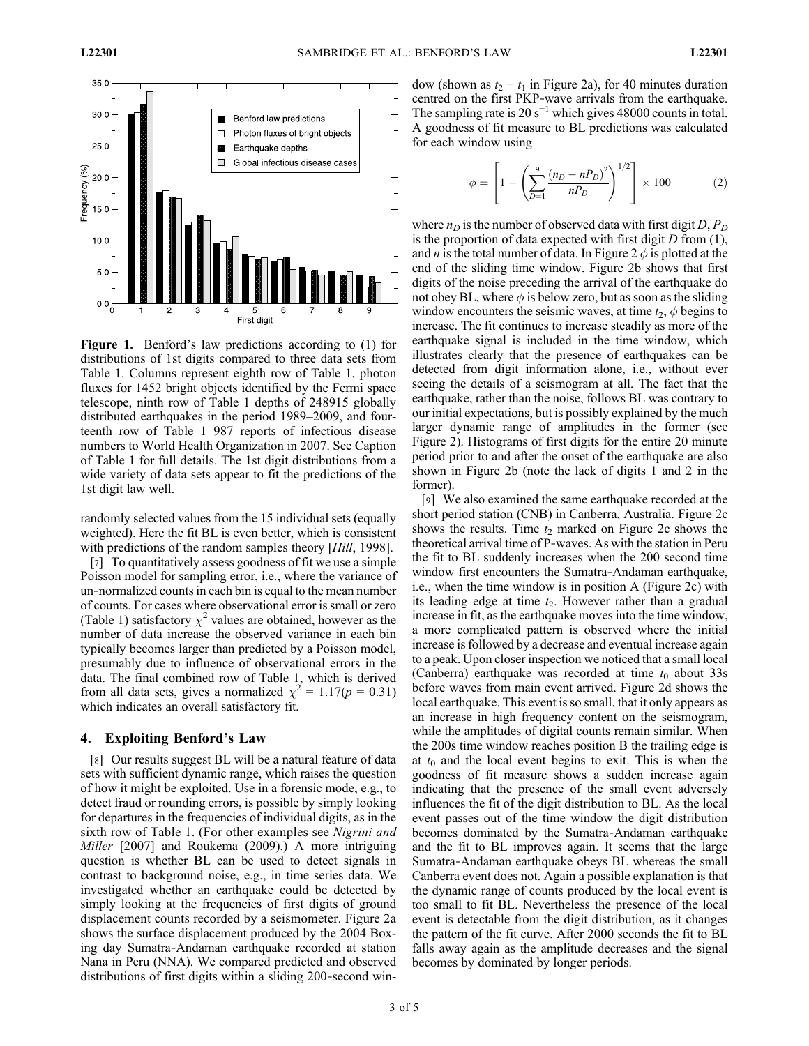

Figure 1. Benford's law predictions according to (1) for distributions of 1st digits compared to three data sets from Table 1. Columns represent eighth row of Table 1, photon fluxes for 1452 bright objects identified by the Fermi space telescope, ninth row of Table 1 depths of 248915 globally distributed earthquakes in the period 1989–2009, and fourteenth row of Table 1 987 reports of infectious disease numbers to World Health Organization in 2007. See Caption of Table 1 for full details. The 1st digit distributions from a wide variety of data sets appear to fit the predictions of the 1st digit law well.

randomly selected values from the 15 individual sets (equally weighted). Here the fit BL is even better, which is consistent with predictions of the random samples theory [*Hill*, 1998].

[7] To quantitatively assess goodness of fit we use a simple Poisson model for sampling error, i.e., where the variance of un‐normalized counts in each bin is equal to the mean number of counts. For cases where observational error is small or zero (Table 1) satisfactory  $\chi^2$  values are obtained, however as the number of data increase the observed variance in each bin typically becomes larger than predicted by a Poisson model, presumably due to influence of observational errors in the data. The final combined row of Table 1, which is derived from all data sets, gives a normalized  $\chi^2 = 1.17(p = 0.31)$ which indicates an overall satisfactory fit.

#### 4. Exploiting Benford's Law

[8] Our results suggest BL will be a natural feature of data sets with sufficient dynamic range, which raises the question of how it might be exploited. Use in a forensic mode, e.g., to detect fraud or rounding errors, is possible by simply looking for departures in the frequencies of individual digits, as in the sixth row of Table 1. (For other examples see *Nigrini and Miller* [2007] and Roukema (2009).) A more intriguing question is whether BL can be used to detect signals in contrast to background noise, e.g., in time series data. We investigated whether an earthquake could be detected by simply looking at the frequencies of first digits of ground displacement counts recorded by a seismometer. Figure 2a shows the surface displacement produced by the 2004 Boxing day Sumatra‐Andaman earthquake recorded at station Nana in Peru (NNA). We compared predicted and observed distributions of first digits within a sliding 200‐second window (shown as  $t_2 - t_1$  in Figure 2a), for 40 minutes duration centred on the first PKP‐wave arrivals from the earthquake. The sampling rate is  $20 s^{-1}$  which gives 48000 counts in total. A goodness of fit measure to BL predictions was calculated for each window using

$$
\phi = \left[1 - \left(\sum_{D=1}^{9} \frac{(n_D - nP_D)^2}{nP_D}\right)^{1/2}\right] \times 100\tag{2}
$$

where  $n_D$  is the number of observed data with first digit D,  $P_D$ is the proportion of data expected with first digit  $D$  from  $(1)$ , and *n* is the total number of data. In Figure 2  $\phi$  is plotted at the end of the sliding time window. Figure 2b shows that first digits of the noise preceding the arrival of the earthquake do not obey BL, where  $\phi$  is below zero, but as soon as the sliding window encounters the seismic waves, at time  $t_2$ ,  $\phi$  begins to increase. The fit continues to increase steadily as more of the earthquake signal is included in the time window, which illustrates clearly that the presence of earthquakes can be detected from digit information alone, i.e., without ever seeing the details of a seismogram at all. The fact that the earthquake, rather than the noise, follows BL was contrary to our initial expectations, but is possibly explained by the much larger dynamic range of amplitudes in the former (see Figure 2). Histograms of first digits for the entire 20 minute period prior to and after the onset of the earthquake are also shown in Figure 2b (note the lack of digits 1 and 2 in the former).

[9] We also examined the same earthquake recorded at the short period station (CNB) in Canberra, Australia. Figure 2c shows the results. Time  $t_2$  marked on Figure 2c shows the theoretical arrival time of P‐waves. As with the station in Peru the fit to BL suddenly increases when the 200 second time window first encounters the Sumatra‐Andaman earthquake, i.e., when the time window is in position A (Figure 2c) with its leading edge at time  $t_2$ . However rather than a gradual increase in fit, as the earthquake moves into the time window, a more complicated pattern is observed where the initial increase is followed by a decrease and eventual increase again to a peak. Upon closer inspection we noticed that a small local (Canberra) earthquake was recorded at time  $t_0$  about 33s before waves from main event arrived. Figure 2d shows the local earthquake. This event is so small, that it only appears as an increase in high frequency content on the seismogram, while the amplitudes of digital counts remain similar. When the 200s time window reaches position B the trailing edge is at  $t_0$  and the local event begins to exit. This is when the goodness of fit measure shows a sudden increase again indicating that the presence of the small event adversely influences the fit of the digit distribution to BL. As the local event passes out of the time window the digit distribution becomes dominated by the Sumatra‐Andaman earthquake and the fit to BL improves again. It seems that the large Sumatra‐Andaman earthquake obeys BL whereas the small Canberra event does not. Again a possible explanation is that the dynamic range of counts produced by the local event is too small to fit BL. Nevertheless the presence of the local event is detectable from the digit distribution, as it changes the pattern of the fit curve. After 2000 seconds the fit to BL falls away again as the amplitude decreases and the signal becomes by dominated by longer periods.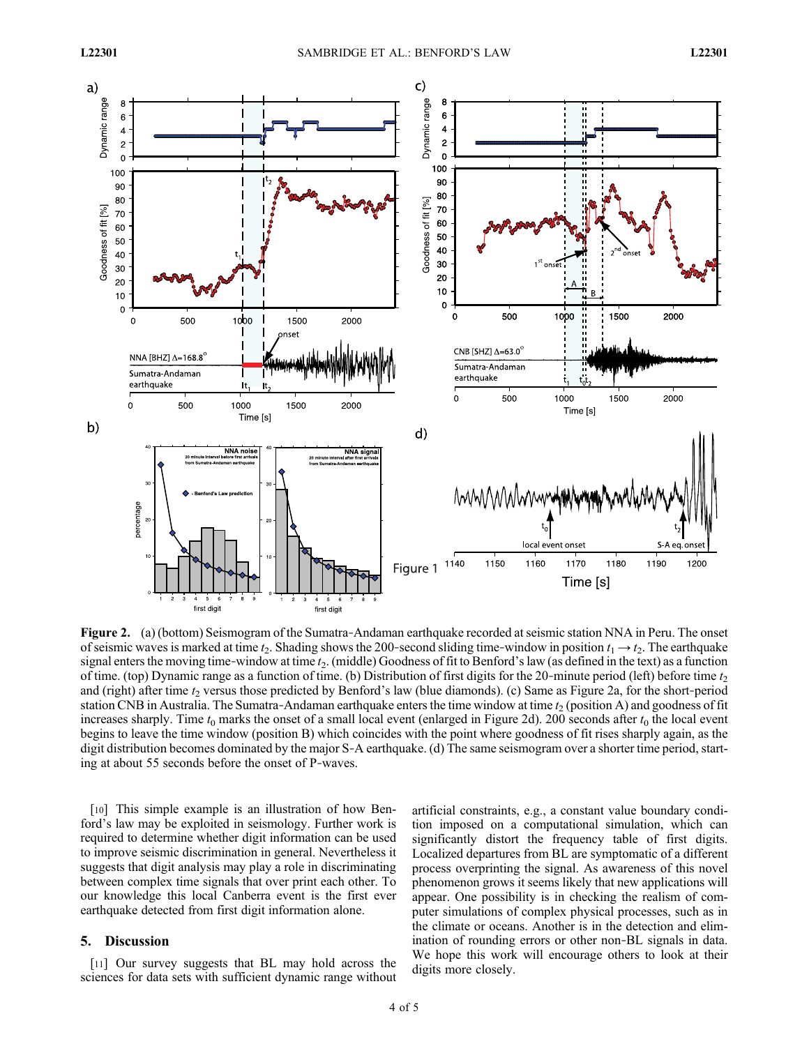

Figure 2. (a) (bottom) Seismogram of the Sumatra-Andaman earthquake recorded at seismic station NNA in Peru. The onset of seismic waves is marked at time  $t_2$ . Shading shows the 200-second sliding time-window in position  $t_1 \rightarrow t_2$ . The earthquake signal enters the moving time-window at time  $t_2$ . (middle) Goodness of fit to Benford's law (as defined in the text) as a function of time. (top) Dynamic range as a function of time. (b) Distribution of first digits for the 20-minute period (left) before time  $t_2$ and (right) after time  $t_2$  versus those predicted by Benford's law (blue diamonds). (c) Same as Figure 2a, for the short-period station CNB in Australia. The Sumatra-Andaman earthquake enters the time window at time  $t_2$  (position A) and goodness of fit increases sharply. Time  $t_0$  marks the onset of a small local event (enlarged in Figure 2d). 200 seconds after  $t_0$  the local event begins to leave the time window (position B) which coincides with the point where goodness of fit rises sharply again, as the digit distribution becomes dominated by the major S‐A earthquake. (d) The same seismogram over a shorter time period, starting at about 55 seconds before the onset of P‐waves.

[10] This simple example is an illustration of how Benford's law may be exploited in seismology. Further work is required to determine whether digit information can be used to improve seismic discrimination in general. Nevertheless it suggests that digit analysis may play a role in discriminating between complex time signals that over print each other. To our knowledge this local Canberra event is the first ever earthquake detected from first digit information alone.

## 5. Discussion

[11] Our survey suggests that BL may hold across the sciences for data sets with sufficient dynamic range without

artificial constraints, e.g., a constant value boundary condition imposed on a computational simulation, which can significantly distort the frequency table of first digits. Localized departures from BL are symptomatic of a different process overprinting the signal. As awareness of this novel phenomenon grows it seems likely that new applications will appear. One possibility is in checking the realism of computer simulations of complex physical processes, such as in the climate or oceans. Another is in the detection and elimination of rounding errors or other non‐BL signals in data. We hope this work will encourage others to look at their digits more closely.